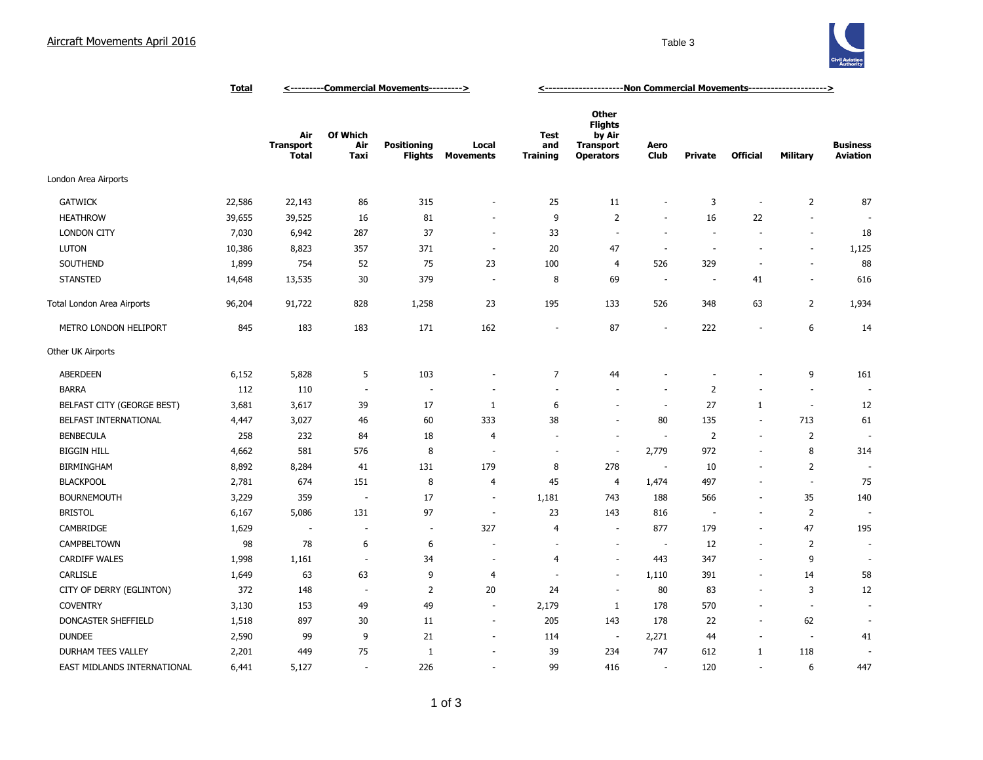## Aircraft Movements April 2016 **Table 3** Table 3



|                             | <b>Total</b> | <---------Commercial Movements---------> |                          |                               |                           | <------------------------Non Commercial Movements---------------------> |                                                                                  |                          |                          |                          |                          |                                    |
|-----------------------------|--------------|------------------------------------------|--------------------------|-------------------------------|---------------------------|-------------------------------------------------------------------------|----------------------------------------------------------------------------------|--------------------------|--------------------------|--------------------------|--------------------------|------------------------------------|
|                             |              | Air<br><b>Transport</b><br><b>Total</b>  | Of Which<br>Air<br>Taxi  | <b>Positioning</b><br>Flights | Local<br><b>Movements</b> | <b>Test</b><br>and<br><b>Training</b>                                   | <b>Other</b><br><b>Flights</b><br>by Air<br><b>Transport</b><br><b>Operators</b> | Aero<br><b>Club</b>      | <b>Private</b>           | <b>Official</b>          | <b>Military</b>          | <b>Business</b><br><b>Aviation</b> |
| London Area Airports        |              |                                          |                          |                               |                           |                                                                         |                                                                                  |                          |                          |                          |                          |                                    |
| <b>GATWICK</b>              | 22,586       | 22,143                                   | 86                       | 315                           |                           | 25                                                                      | 11                                                                               | $\overline{\phantom{a}}$ | 3                        |                          | $\overline{2}$           | 87                                 |
| <b>HEATHROW</b>             | 39,655       | 39,525                                   | 16                       | 81                            |                           | 9                                                                       | 2                                                                                | $\overline{\phantom{a}}$ | 16                       | 22                       | ÷.                       |                                    |
| <b>LONDON CITY</b>          | 7,030        | 6,942                                    | 287                      | 37                            | $\sim$                    | 33                                                                      | $\overline{\phantom{a}}$                                                         | $\sim$                   | $\sim$                   |                          | ÷.                       | 18                                 |
| <b>LUTON</b>                | 10,386       | 8,823                                    | 357                      | 371                           | $\overline{\phantom{a}}$  | 20                                                                      | 47                                                                               | $\overline{\phantom{a}}$ | $\overline{\phantom{a}}$ | $\overline{\phantom{a}}$ | $\overline{\phantom{a}}$ | 1,125                              |
| SOUTHEND                    | 1,899        | 754                                      | 52                       | 75                            | 23                        | 100                                                                     | $\overline{4}$                                                                   | 526                      | 329                      | $\sim$                   | ÷.                       | 88                                 |
| <b>STANSTED</b>             | 14,648       | 13,535                                   | 30                       | 379                           | $\overline{\phantom{a}}$  | 8                                                                       | 69                                                                               | $\sim$                   | $\sim$                   | 41                       | $\sim$                   | 616                                |
| Total London Area Airports  | 96,204       | 91,722                                   | 828                      | 1,258                         | 23                        | 195                                                                     | 133                                                                              | 526                      | 348                      | 63                       | $\overline{2}$           | 1,934                              |
| METRO LONDON HELIPORT       | 845          | 183                                      | 183                      | 171                           | 162                       | ٠                                                                       | 87                                                                               | ÷.                       | 222                      |                          | 6                        | 14                                 |
| Other UK Airports           |              |                                          |                          |                               |                           |                                                                         |                                                                                  |                          |                          |                          |                          |                                    |
| <b>ABERDEEN</b>             | 6,152        | 5,828                                    | 5                        | 103                           |                           | $\overline{7}$                                                          | 44                                                                               |                          |                          |                          | 9                        | 161                                |
| <b>BARRA</b>                | 112          | 110                                      | $\sim$                   | $\overline{a}$                |                           | $\sim$                                                                  | $\sim$                                                                           | $\sim$                   | $\overline{2}$           |                          | $\sim$                   |                                    |
| BELFAST CITY (GEORGE BEST)  | 3,681        | 3,617                                    | 39                       | 17                            | 1                         | 6                                                                       | $\sim$                                                                           | $\overline{\phantom{a}}$ | 27                       | 1                        | $\sim$                   | 12                                 |
| BELFAST INTERNATIONAL       | 4,447        | 3,027                                    | 46                       | 60                            | 333                       | 38                                                                      | $\sim$                                                                           | 80                       | 135                      | $\sim$                   | 713                      | 61                                 |
| <b>BENBECULA</b>            | 258          | 232                                      | 84                       | 18                            | $\overline{4}$            | $\sim$                                                                  | ÷,                                                                               | $\sim$                   | $\overline{2}$           | $\sim$                   | $\overline{2}$           |                                    |
| <b>BIGGIN HILL</b>          | 4,662        | 581                                      | 576                      | 8                             | $\sim$                    | $\sim$                                                                  | $\sim$                                                                           | 2,779                    | 972                      | $\overline{\phantom{a}}$ | 8                        | 314                                |
| <b>BIRMINGHAM</b>           | 8,892        | 8,284                                    | 41                       | 131                           | 179                       | 8                                                                       | 278                                                                              | $\overline{\phantom{a}}$ | 10                       |                          | $\overline{2}$           |                                    |
| <b>BLACKPOOL</b>            | 2,781        | 674                                      | 151                      | 8                             | $\overline{4}$            | 45                                                                      | $\overline{4}$                                                                   | 1,474                    | 497                      |                          | $\overline{\phantom{a}}$ | 75                                 |
| <b>BOURNEMOUTH</b>          | 3,229        | 359                                      | $\sim$                   | 17                            | $\overline{\phantom{a}}$  | 1,181                                                                   | 743                                                                              | 188                      | 566                      | $\overline{\phantom{a}}$ | 35                       | 140                                |
| <b>BRISTOL</b>              | 6,167        | 5,086                                    | 131                      | 97                            | $\sim$                    | 23                                                                      | 143                                                                              | 816                      | $\sim$                   | $\overline{\phantom{a}}$ | $\overline{2}$           |                                    |
| CAMBRIDGE                   | 1,629        | $\sim$                                   | $\overline{\phantom{a}}$ | $\overline{\phantom{a}}$      | 327                       | $\overline{4}$                                                          | ÷,                                                                               | 877                      | 179                      | ÷.                       | 47                       | 195                                |
| CAMPBELTOWN                 | 98           | 78                                       | 6                        | 6                             |                           | ÷,                                                                      | $\overline{\phantom{a}}$                                                         | $\sim$                   | 12                       |                          | $\overline{2}$           |                                    |
| <b>CARDIFF WALES</b>        | 1,998        | 1,161                                    | $\overline{\phantom{a}}$ | 34                            | $\overline{\phantom{a}}$  | $\overline{4}$                                                          | $\overline{\phantom{a}}$                                                         | 443                      | 347                      | $\sim$                   | 9                        |                                    |
| CARLISLE                    | 1,649        | 63                                       | 63                       | 9                             | 4                         |                                                                         | ÷,                                                                               | 1,110                    | 391                      |                          | 14                       | 58                                 |
| CITY OF DERRY (EGLINTON)    | 372          | 148                                      | $\overline{\phantom{a}}$ | $\overline{2}$                | 20                        | 24                                                                      | $\overline{\phantom{a}}$                                                         | 80                       | 83                       |                          | 3                        | 12                                 |
| <b>COVENTRY</b>             | 3,130        | 153                                      | 49                       | 49                            | $\sim$                    | 2,179                                                                   | $\mathbf{1}$                                                                     | 178                      | 570                      |                          | $\sim$                   |                                    |
| DONCASTER SHEFFIELD         | 1,518        | 897                                      | 30                       | 11                            | $\overline{\phantom{a}}$  | 205                                                                     | 143                                                                              | 178                      | 22                       | $\sim$                   | 62                       |                                    |
| <b>DUNDEE</b>               | 2,590        | 99                                       | 9                        | 21                            | $\overline{\phantom{a}}$  | 114                                                                     | $\sim$                                                                           | 2,271                    | 44                       | $\sim$                   | $\sim$                   | 41                                 |
| <b>DURHAM TEES VALLEY</b>   | 2,201        | 449                                      | 75                       | $\mathbf{1}$                  |                           | 39                                                                      | 234                                                                              | 747                      | 612                      | 1                        | 118                      |                                    |
| EAST MIDLANDS INTERNATIONAL | 6,441        | 5,127                                    | $\sim$                   | 226                           |                           | 99                                                                      | 416                                                                              | $\overline{\phantom{a}}$ | 120                      | $\sim$                   | 6                        | 447                                |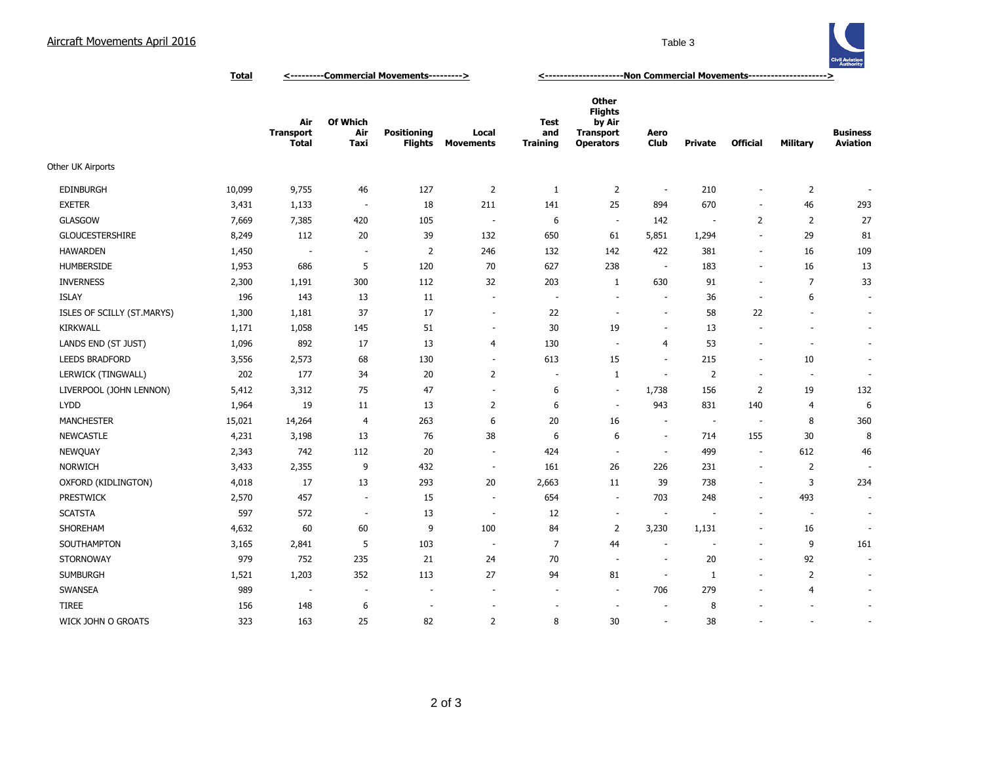## Aircraft Movements April 2016 **Table 3** Table 3



**Total <---------Commercial Movements---------> <---------------------Non Commercial Movements--------------------->**

|                            |        | Air<br><b>Transport</b><br><b>Total</b> | <b>Of Which</b><br>Air<br>Taxi | <b>Positioning</b><br><b>Flights</b> | Local<br><b>Movements</b> | <b>Test</b><br>and<br><b>Training</b> | <b>Other</b><br><b>Flights</b><br>by Air<br><b>Transport</b><br><b>Operators</b> | Aero<br><b>Club</b>      | <b>Private</b>           | <b>Official</b>          | <b>Military</b>          | <b>Business</b><br><b>Aviation</b> |
|----------------------------|--------|-----------------------------------------|--------------------------------|--------------------------------------|---------------------------|---------------------------------------|----------------------------------------------------------------------------------|--------------------------|--------------------------|--------------------------|--------------------------|------------------------------------|
| <b>Other UK Airports</b>   |        |                                         |                                |                                      |                           |                                       |                                                                                  |                          |                          |                          |                          |                                    |
| <b>EDINBURGH</b>           | 10,099 | 9,755                                   | 46                             | 127                                  | $\overline{2}$            | 1                                     | $\overline{2}$                                                                   | $\overline{\phantom{a}}$ | 210                      | $\blacksquare$           | 2                        |                                    |
| <b>EXETER</b>              | 3,431  | 1,133                                   | $\overline{\phantom{a}}$       | 18                                   | 211                       | 141                                   | 25                                                                               | 894                      | 670                      | $\overline{\phantom{a}}$ | 46                       | 293                                |
| <b>GLASGOW</b>             | 7,669  | 7,385                                   | 420                            | 105                                  | $\overline{\phantom{a}}$  | 6                                     | $\overline{\phantom{a}}$                                                         | 142                      | $\overline{\phantom{a}}$ | 2                        | $\overline{2}$           | 27                                 |
| <b>GLOUCESTERSHIRE</b>     | 8,249  | 112                                     | 20                             | 39                                   | 132                       | 650                                   | 61                                                                               | 5,851                    | 1,294                    | $\overline{\phantom{a}}$ | 29                       | 81                                 |
| <b>HAWARDEN</b>            | 1,450  | $\overline{\phantom{a}}$                | $\sim$                         | $\overline{2}$                       | 246                       | 132                                   | 142                                                                              | 422                      | 381                      | $\blacksquare$           | 16                       | 109                                |
| <b>HUMBERSIDE</b>          | 1,953  | 686                                     | 5                              | 120                                  | 70                        | 627                                   | 238                                                                              | <b>.</b>                 | 183                      | $\blacksquare$           | 16                       | 13                                 |
| <b>INVERNESS</b>           | 2,300  | 1,191                                   | 300                            | 112                                  | 32                        | 203                                   | $\mathbf{1}$                                                                     | 630                      | 91                       | ÷.                       | $\overline{7}$           | 33                                 |
| <b>ISLAY</b>               | 196    | 143                                     | 13                             | 11                                   | $\overline{\phantom{a}}$  | $\overline{a}$                        | $\overline{\phantom{a}}$                                                         | ÷                        | 36                       | $\overline{\phantom{a}}$ | 6                        | $\overline{\phantom{a}}$           |
| ISLES OF SCILLY (ST.MARYS) | 1,300  | 1,181                                   | 37                             | 17                                   | $\sim$                    | 22                                    | $\overline{\phantom{a}}$                                                         | $\overline{\phantom{a}}$ | 58                       | 22                       | $\overline{\phantom{a}}$ | $\sim$                             |
| <b>KIRKWALL</b>            | 1,171  | 1,058                                   | 145                            | 51                                   | $\sim$                    | 30                                    | 19                                                                               | ÷,                       | 13                       | $\sim$                   | $\blacksquare$           | $\blacksquare$                     |
| LANDS END (ST JUST)        | 1,096  | 892                                     | 17                             | 13                                   | 4                         | 130                                   | $\sim$                                                                           | $\overline{4}$           | 53                       | $\overline{\phantom{a}}$ | $\overline{\phantom{a}}$ | $\sim$                             |
| <b>LEEDS BRADFORD</b>      | 3,556  | 2,573                                   | 68                             | 130                                  | $\sim$                    | 613                                   | 15                                                                               | $\sim$                   | 215                      | $\sim$                   | 10                       | $\sim$                             |
| LERWICK (TINGWALL)         | 202    | 177                                     | 34                             | 20                                   | $\overline{2}$            | $\overline{\phantom{a}}$              | $\mathbf{1}$                                                                     | $\sim$                   | $\overline{2}$           | $\overline{\phantom{a}}$ | $\overline{\phantom{a}}$ | $\overline{\phantom{a}}$           |
| LIVERPOOL (JOHN LENNON)    | 5,412  | 3,312                                   | 75                             | 47                                   | $\sim$                    | 6                                     | $\sim$                                                                           | 1,738                    | 156                      | $\overline{2}$           | 19                       | 132                                |
| <b>LYDD</b>                | 1,964  | 19                                      | 11                             | 13                                   | 2                         | 6                                     | $\sim$                                                                           | 943                      | 831                      | 140                      | $\overline{4}$           | 6                                  |
| <b>MANCHESTER</b>          | 15,021 | 14,264                                  | $\overline{4}$                 | 263                                  | 6                         | 20                                    | 16                                                                               |                          | $\sim$                   | $\overline{\phantom{a}}$ | 8                        | 360                                |
| <b>NEWCASTLE</b>           | 4,231  | 3,198                                   | 13                             | 76                                   | 38                        | 6                                     | 6                                                                                | $\overline{a}$           | 714                      | 155                      | 30                       | 8                                  |
| <b>NEWQUAY</b>             | 2,343  | 742                                     | 112                            | 20                                   | $\overline{\phantom{a}}$  | 424                                   | $\sim$                                                                           | ÷.                       | 499                      | $\overline{\phantom{a}}$ | 612                      | 46                                 |
| <b>NORWICH</b>             | 3,433  | 2,355                                   | 9                              | 432                                  | $\sim$                    | 161                                   | 26                                                                               | 226                      | 231                      | $\overline{\phantom{a}}$ | $\overline{2}$           |                                    |
| OXFORD (KIDLINGTON)        | 4,018  | 17                                      | 13                             | 293                                  | 20                        | 2,663                                 | 11                                                                               | 39                       | 738                      | $\overline{\phantom{a}}$ | 3                        | 234                                |
| PRESTWICK                  | 2,570  | 457                                     | $\sim$                         | 15                                   | $\sim$                    | 654                                   | $\sim$                                                                           | 703                      | 248                      | $\overline{\phantom{a}}$ | 493                      | $\overline{\phantom{a}}$           |
| <b>SCATSTA</b>             | 597    | 572                                     | $\overline{\phantom{a}}$       | 13                                   | $\sim$                    | 12                                    | $\overline{\phantom{a}}$                                                         | $\overline{\phantom{a}}$ |                          | $\overline{\phantom{a}}$ | $\overline{\phantom{a}}$ | $\overline{\phantom{a}}$           |
| SHOREHAM                   | 4,632  | 60                                      | 60                             | 9                                    | 100                       | 84                                    | $\overline{2}$                                                                   | 3,230                    | 1,131                    | $\overline{\phantom{a}}$ | 16                       | $\overline{\phantom{a}}$           |
| SOUTHAMPTON                | 3,165  | 2,841                                   | 5                              | 103                                  | $\sim$                    | $\overline{7}$                        | 44                                                                               | ÷.                       | $\sim$                   | $\sim$                   | 9                        | 161                                |
| STORNOWAY                  | 979    | 752                                     | 235                            | 21                                   | 24                        | 70                                    | $\sim$                                                                           | ÷.                       | 20                       | $\sim$                   | 92                       | $\overline{\phantom{a}}$           |
| <b>SUMBURGH</b>            | 1,521  | 1,203                                   | 352                            | 113                                  | 27                        | 94                                    | 81                                                                               | $\overline{\phantom{a}}$ | 1                        | $\sim$                   | $\overline{2}$           | $\overline{\phantom{a}}$           |
| SWANSEA                    | 989    | $\overline{\phantom{a}}$                | $\overline{\phantom{a}}$       | $\overline{\phantom{a}}$             | $\sim$                    | $\sim$                                | $\sim$                                                                           | 706                      | 279                      | $\overline{\phantom{a}}$ | 4                        | $\sim$                             |
| <b>TIREE</b>               | 156    | 148                                     | 6                              | $\overline{a}$                       |                           |                                       | $\overline{\phantom{a}}$                                                         | $\overline{\phantom{a}}$ | 8                        |                          |                          | $\overline{\phantom{a}}$           |
| WICK JOHN O GROATS         | 323    | 163                                     | 25                             | 82                                   | 2                         | 8                                     | 30                                                                               | $\sim$                   | 38                       | $\sim$                   | $\sim$                   | $\blacksquare$                     |